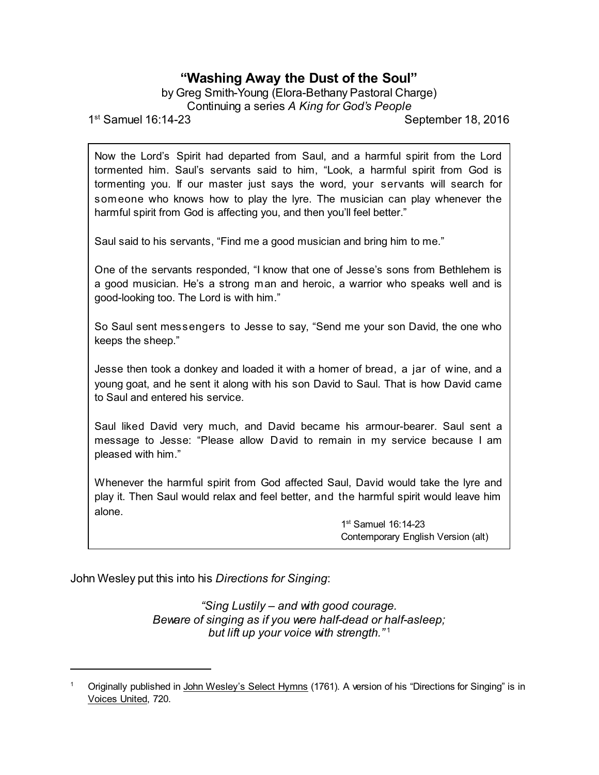## **"Washing Away the Dust of the Soul"**

by Greg Smith-Young (Elora-Bethany Pastoral Charge) Continuing a series *A King for God's People*

1<sup>st</sup> Samuel 16:14-23

September 18, 2016

Now the Lord's Spirit had departed from Saul, and a harmful spirit from the Lord tormented him. Saul's servants said to him, "Look, a harmful spirit from God is tormenting you. If our master just says the word, your servants will search for someone who knows how to play the lyre. The musician can play whenever the harmful spirit from God is affecting you, and then you'll feel better."

Saul said to his servants, "Find me a good musician and bring him to me."

One of the servants responded, "I know that one of Jesse's sons from Bethlehem is a good musician. He's a strong man and heroic, a warrior who speaks well and is good-looking too. The Lord is with him."

So Saul sent messengers to Jesse to say, "Send me your son David, the one who keeps the sheep."

Jesse then took a donkey and loaded it with a homer of bread, a jar of wine, and a young goat, and he sent it along with his son David to Saul. That is how David came to Saul and entered his service.

Saul liked David very much, and David became his armour-bearer. Saul sent a message to Jesse: "Please allow David to remain in my service because I am pleased with him."

Whenever the harmful spirit from God affected Saul, David would take the lyre and play it. Then Saul would relax and feel better, and the harmful spirit would leave him alone.

> 1 st Samuel 16:14-23 Contemporary English Version (alt)

John Wesley put this into his *Directions for Singing*:

*"Sing Lustily – and with good courage. Beware of singing as if you were half-dead or half-asleep; but lift up your voice with strength."* 1

<sup>&</sup>lt;sup>1</sup> Originally published in John Wesley's Select Hymns (1761). A version of his "Directions for Singing" is in Voices United, 720.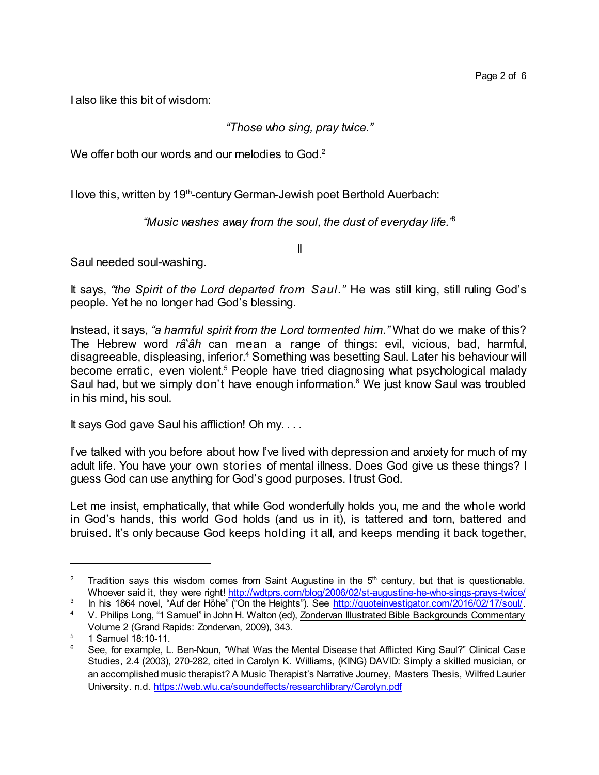I also like this bit of wisdom:

*"Those who sing, pray twice."*

We offer both our words and our melodies to God.<sup>2</sup>

I love this, written by 19<sup>th</sup>-century German-Jewish poet Berthold Auerbach:

*"Music washes away from the soul, the dust of everyday life."* 3

II

Saul needed soul-washing.

It says, *"the Spirit of the Lord departed from Saul."* He was still king, still ruling God's people. Yet he no longer had God's blessing.

Instead, it says, *"a harmful spirit from the Lord tormented him."* What do we make of this? The Hebrew word *râ)âh* can mean a range of things: evil, vicious, bad, harmful, disagreeable, displeasing, inferior. <sup>4</sup> Something was besetting Saul. Later his behaviour will become erratic, even violent.<sup>5</sup> People have tried diagnosing what psychological malady Saul had, but we simply don't have enough information.<sup>6</sup> We just know Saul was troubled in his mind, his soul.

It says God gave Saul his affliction! Oh my. . . .

I've talked with you before about how I've lived with depression and anxiety for much of my adult life. You have your own stories of mental illness. Does God give us these things? I guess God can use anything for God's good purposes. I trust God.

Let me insist, emphatically, that while God wonderfully holds you, me and the whole world in God's hands, this world God holds (and us in it), is tattered and torn, battered and bruised. It's only because God keeps holding it all, and keeps mending it back together,

<sup>&</sup>lt;sup>2</sup> Tradition says this wisdom comes from Saint Augustine in the  $5<sup>th</sup>$  century, but that is questionable. Whoever said it, they were right! <http://wdtprs.com/blog/2006/02/st-augustine-he-who-sings-prays-twice/>

<sup>3</sup> In his 1864 novel, "Auf der Höhe" ("On the Heights"). See <http://quoteinvestigator.com/2016/02/17/soul/>.

<sup>&</sup>lt;sup>4</sup> V. Philips Long, "1 Samuel" in John H. Walton (ed), Zondervan Illustrated Bible Backgrounds Commentary Volume 2 (Grand Rapids: Zondervan, 2009), 343.

 $\frac{5}{1}$  Samuel 18:10-11.

<sup>6</sup> See, for example, L. Ben-Noun, "What Was the Mental Disease that Afflicted King Saul?" Clinical Case Studies, 2.4 (2003), 270-282, cited in Carolyn K. Williams, (KING) DAVID: Simply a skilled musician, or an accomplished music therapist? A Music Therapist's Narrative Journey, Masters Thesis, Wilfred Laurier University. n.d. <https://web.wlu.ca/soundeffects/researchlibrary/Carolyn.pdf>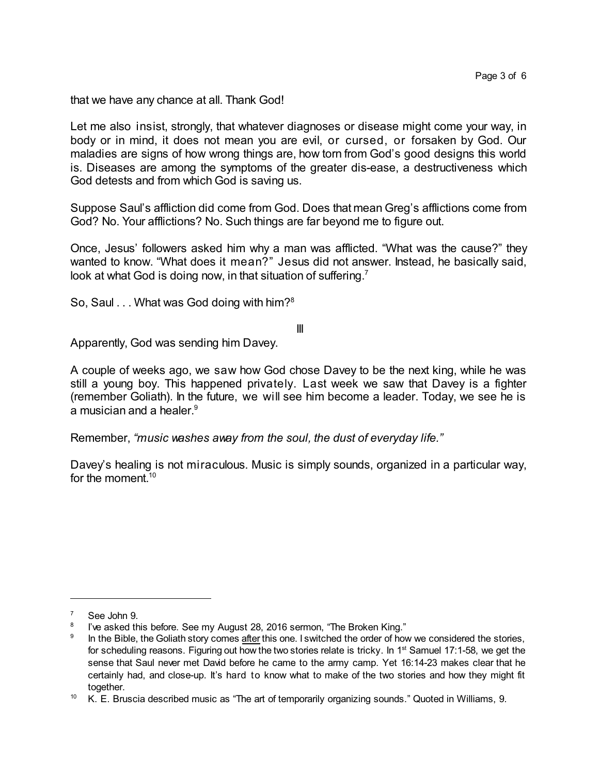that we have any chance at all. Thank God!

Let me also insist, strongly, that whatever diagnoses or disease might come your way, in body or in mind, it does not mean you are evil, or cursed, or forsaken by God. Our maladies are signs of how wrong things are, how torn from God's good designs this world is. Diseases are among the symptoms of the greater dis-ease, a destructiveness which God detests and from which God is saving us.

Suppose Saul's affliction did come from God. Does that mean Greg's afflictions come from God? No. Your afflictions? No. Such things are far beyond me to figure out.

Once, Jesus' followers asked him why a man was afflicted. "What was the cause?" they wanted to know. "What does it mean?" Jesus did not answer. Instead, he basically said, look at what God is doing now, in that situation of suffering.<sup>7</sup>

So, Saul . . . What was God doing with him?<sup>8</sup>

III

Apparently, God was sending him Davey.

A couple of weeks ago, we saw how God chose Davey to be the next king, while he was still a young boy. This happened privately. Last week we saw that Davey is a fighter (remember Goliath). In the future, we will see him become a leader. Today, we see he is a musician and a healer. 9

Remember, *"music washes away from the soul, the dust of everyday life."*

Davey's healing is not miraculous. Music is simply sounds, organized in a particular way, for the moment. 10

See John 9.

<sup>8</sup> I've asked this before. See my August 28, 2016 sermon, "The Broken King."

<sup>9</sup> In the Bible, the Goliath story comes after this one. I switched the order of how we considered the stories, for scheduling reasons. Figuring out how the two stories relate is tricky. In 1<sup>st</sup> Samuel 17:1-58, we get the sense that Saul never met David before he came to the army camp. Yet 16:14-23 makes clear that he certainly had, and close-up. It's hard to know what to make of the two stories and how they might fit together.

<sup>&</sup>lt;sup>10</sup> K. E. Bruscia described music as "The art of temporarily organizing sounds." Quoted in Williams, 9.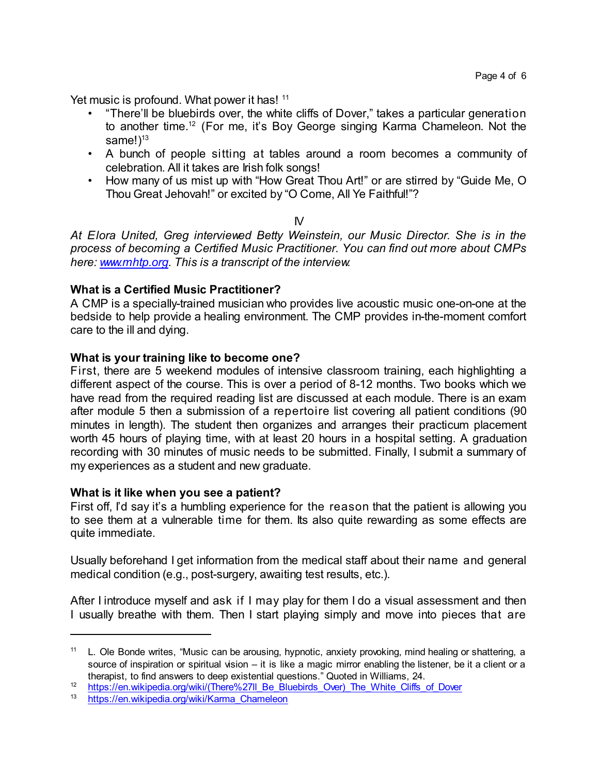Yet music is profound. What power it has! <sup>11</sup>

- "There'll be bluebirds over, the white cliffs of Dover," takes a particular generation to another time.<sup>12</sup> (For me, it's Boy George singing Karma Chameleon. Not the same!) $^{13}$
- A bunch of people sitting at tables around a room becomes a community of celebration. All it takes are Irish folk songs!
- How many of us mist up with "How Great Thou Art!" or are stirred by "Guide Me, O Thou Great Jehovah!" or excited by "O Come, All Ye Faithful!"?

 $\mathsf{N}$ 

*At Elora United, Greg interviewed Betty Weinstein, our Music Director. She is in the process of becoming a Certified Music Practitioner. You can find out more about CMPs here: [www.mhtp.org](http://www.mhtp.org/). This is a transcript of the interview.*

## **What is a Certified Music Practitioner?**

A CMP is a specially-trained musician who provides live acoustic music one-on-one at the bedside to help provide a healing environment. The CMP provides in-the-moment comfort care to the ill and dying.

## **What is your training like to become one?**

First, there are 5 weekend modules of intensive classroom training, each highlighting a different aspect of the course. This is over a period of 8-12 months. Two books which we have read from the required reading list are discussed at each module. There is an exam after module 5 then a submission of a repertoire list covering all patient conditions (90 minutes in length). The student then organizes and arranges their practicum placement worth 45 hours of playing time, with at least 20 hours in a hospital setting. A graduation recording with 30 minutes of music needs to be submitted. Finally, I submit a summary of my experiences as a student and new graduate.

## **What is it like when you see a patient?**

First off, I'd say it's a humbling experience for the reason that the patient is allowing you to see them at a vulnerable time for them. Its also quite rewarding as some effects are quite immediate.

Usually beforehand I get information from the medical staff about their name and general medical condition (e.g., post-surgery, awaiting test results, etc.).

After I introduce myself and ask if I may play for them I do a visual assessment and then I usually breathe with them. Then I start playing simply and move into pieces that are

<sup>&</sup>lt;sup>11</sup> L. Ole Bonde writes, "Music can be arousing, hypnotic, anxiety provoking, mind healing or shattering, a source of inspiration or spiritual vision – it is like a magic mirror enabling the listener, be it a client or a therapist, to find answers to deep existential questions." Quoted in Williams, 24.

<sup>12</sup> [https://en.wikipedia.org/wiki/\(There%27ll\\_Be\\_Bluebirds\\_Over\)\\_The\\_White\\_Cliffs\\_of\\_Dover](https://en.wikipedia.org/wiki/(There%27ll_Be_Bluebirds_Over)_The_White_Cliffs_of_Dover)

<sup>13</sup> [https://en.wikipedia.org/wiki/Karma\\_Chameleon](https://en.wikipedia.org/wiki/Karma_Chameleon)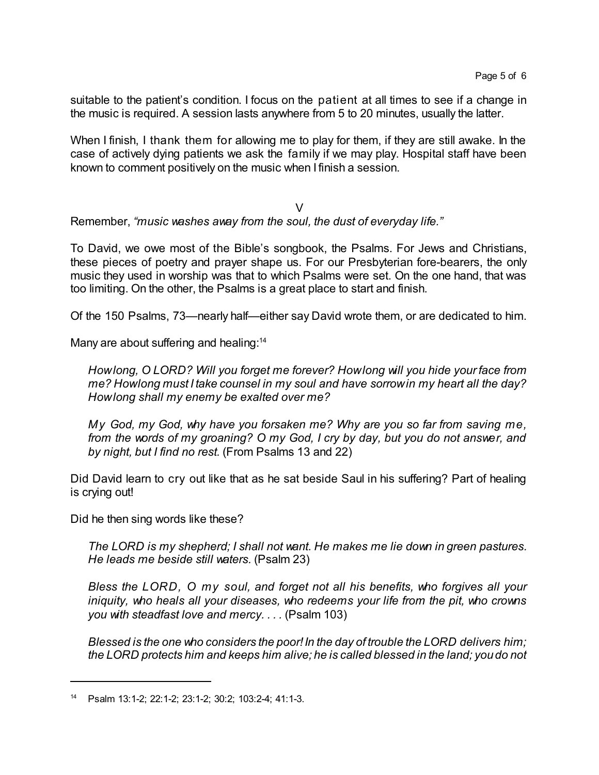suitable to the patient's condition. I focus on the patient at all times to see if a change in the music is required. A session lasts anywhere from 5 to 20 minutes, usually the latter.

When I finish, I thank them for allowing me to play for them, if they are still awake. In the case of actively dying patients we ask the family if we may play. Hospital staff have been known to comment positively on the music when I finish a session.

 $\mathcal{U}$ 

Remember, *"music washes away from the soul, the dust of everyday life."*

To David, we owe most of the Bible's songbook, the Psalms. For Jews and Christians, these pieces of poetry and prayer shape us. For our Presbyterian fore-bearers, the only music they used in worship was that to which Psalms were set. On the one hand, that was too limiting. On the other, the Psalms is a great place to start and finish.

Of the 150 Psalms, 73—nearly half—either say David wrote them, or are dedicated to him.

Many are about suffering and healing:<sup>14</sup>

*Howlong, O LORD? Will you forget me forever? Howlong will you hide your face from me? Howlong must I take counsel in my soul and have sorrowin my heart all the day? Howlong shall my enemy be exalted over me?* 

*My God, my God, why have you forsaken me? Why are you so far from saving me, from the words of my groaning? O my God, I cry by day, but you do not answer, and by night, but I find no rest.* (From Psalms 13 and 22)

Did David learn to cry out like that as he sat beside Saul in his suffering? Part of healing is crying out!

Did he then sing words like these?

*The LORD is my shepherd; I shall not want. He makes me lie down in green pastures. He leads me beside still waters.* (Psalm 23)

*Bless the LORD, O my soul, and forget not all his benefits, who forgives all your iniquity, who heals all your diseases, who redeems your life from the pit, who crowns you with steadfast love and mercy. . . .* (Psalm 103)

*Blessed is the one who considers the poor! In the day of trouble the LORD delivers him; the LORD protects him and keeps him alive; he is called blessed in the land; you do not*

Psalm 13:1-2; 22:1-2; 23:1-2; 30:2; 103:2-4; 41:1-3.